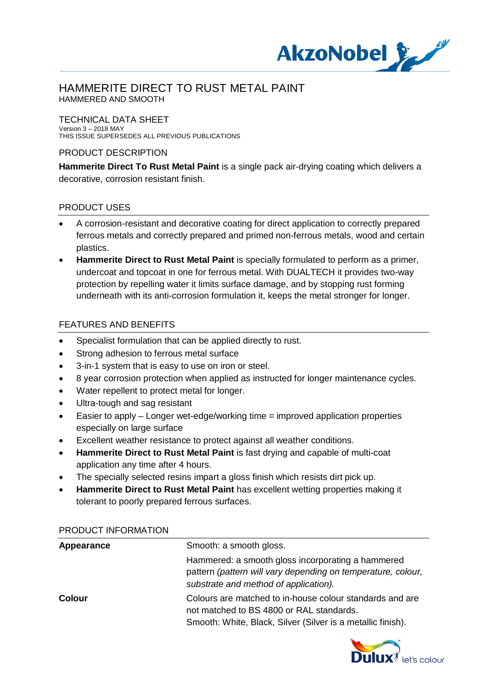

### TECHNICAL DATA SHEET

Version 3 – 2018 MAY THIS ISSUE SUPERSEDES ALL PREVIOUS PUBLICATIONS

### PRODUCT DESCRIPTION

**Hammerite Direct To Rust Metal Paint** is a single pack air-drying coating which delivers a decorative, corrosion resistant finish.

### PRODUCT USES

- · A corrosion-resistant and decorative coating for direct application to correctly prepared ferrous metals and correctly prepared and primed non-ferrous metals, wood and certain plastics.
- **Hammerite Direct to Rust Metal Paint** is specially formulated to perform as a primer, undercoat and topcoat in one for ferrous metal. With DUALTECH it provides two-way protection by repelling water it limits surface damage, and by stopping rust forming underneath with its anti-corrosion formulation it, keeps the metal stronger for longer.

### FEATURES AND BENEFITS

- Specialist formulation that can be applied directly to rust.
- Strong adhesion to ferrous metal surface
- 3-in-1 system that is easy to use on iron or steel.
- 8 year corrosion protection when applied as instructed for longer maintenance cycles.
- Water repellent to protect metal for longer.
- Ultra-tough and sag resistant
- Easier to apply Longer wet-edge/working time = improved application properties especially on large surface
- Excellent weather resistance to protect against all weather conditions.
- · **Hammerite Direct to Rust Metal Paint** is fast drying and capable of multi-coat application any time after 4 hours.
- The specially selected resins impart a gloss finish which resists dirt pick up.
- **Hammerite Direct to Rust Metal Paint** has excellent wetting properties making it tolerant to poorly prepared ferrous surfaces.

| Appearance    | Smooth: a smooth gloss.                                                                                                                                             |
|---------------|---------------------------------------------------------------------------------------------------------------------------------------------------------------------|
|               | Hammered: a smooth gloss incorporating a hammered<br>pattern (pattern will vary depending on temperature, colour,<br>substrate and method of application).          |
| <b>Colour</b> | Colours are matched to in-house colour standards and are<br>not matched to BS 4800 or RAL standards.<br>Smooth: White, Black, Silver (Silver is a metallic finish). |

#### PRODUCT INFORMATION

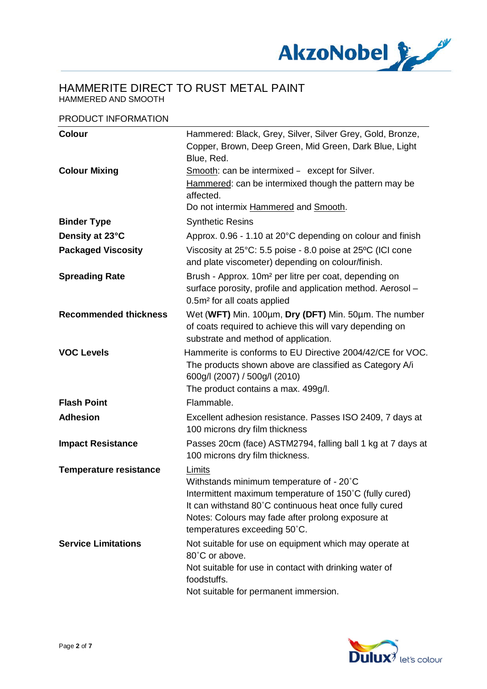

#### PRODUCT INFORMATION

| <b>Colour</b>                 | Hammered: Black, Grey, Silver, Silver Grey, Gold, Bronze,<br>Copper, Brown, Deep Green, Mid Green, Dark Blue, Light<br>Blue, Red.                                                                                                                            |
|-------------------------------|--------------------------------------------------------------------------------------------------------------------------------------------------------------------------------------------------------------------------------------------------------------|
| <b>Colour Mixing</b>          | Smooth: can be intermixed – except for Silver.<br>Hammered: can be intermixed though the pattern may be<br>affected.<br>Do not intermix Hammered and Smooth.                                                                                                 |
| <b>Binder Type</b>            | <b>Synthetic Resins</b>                                                                                                                                                                                                                                      |
| Density at 23°C               | Approx. 0.96 - 1.10 at 20°C depending on colour and finish                                                                                                                                                                                                   |
| <b>Packaged Viscosity</b>     | Viscosity at 25°C: 5.5 poise - 8.0 poise at 25°C (ICI cone<br>and plate viscometer) depending on colour/finish.                                                                                                                                              |
| <b>Spreading Rate</b>         | Brush - Approx. 10m <sup>2</sup> per litre per coat, depending on<br>surface porosity, profile and application method. Aerosol -<br>0.5m <sup>2</sup> for all coats applied                                                                                  |
| <b>Recommended thickness</b>  | Wet (WFT) Min. 100µm, Dry (DFT) Min. 50µm. The number<br>of coats required to achieve this will vary depending on<br>substrate and method of application.                                                                                                    |
| <b>VOC Levels</b>             | Hammerite is conforms to EU Directive 2004/42/CE for VOC.<br>The products shown above are classified as Category A/i<br>600g/l (2007) / 500g/l (2010)<br>The product contains a max. 499g/l.                                                                 |
| <b>Flash Point</b>            | Flammable.                                                                                                                                                                                                                                                   |
| <b>Adhesion</b>               | Excellent adhesion resistance. Passes ISO 2409, 7 days at<br>100 microns dry film thickness                                                                                                                                                                  |
| <b>Impact Resistance</b>      | Passes 20cm (face) ASTM2794, falling ball 1 kg at 7 days at<br>100 microns dry film thickness.                                                                                                                                                               |
| <b>Temperature resistance</b> | Limits<br>Withstands minimum temperature of - 20°C<br>Intermittent maximum temperature of 150°C (fully cured)<br>It can withstand 80°C continuous heat once fully cured<br>Notes: Colours may fade after prolong exposure at<br>temperatures exceeding 50°C. |
| <b>Service Limitations</b>    | Not suitable for use on equipment which may operate at<br>80°C or above.<br>Not suitable for use in contact with drinking water of<br>foodstuffs.<br>Not suitable for permanent immersion.                                                                   |

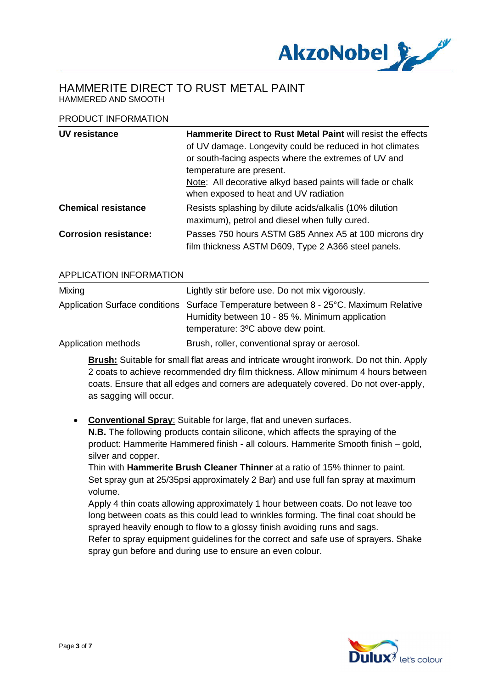

#### PRODUCT INFORMATION

| UV resistance                | <b>Hammerite Direct to Rust Metal Paint will resist the effects</b><br>of UV damage. Longevity could be reduced in hot climates<br>or south-facing aspects where the extremes of UV and |
|------------------------------|-----------------------------------------------------------------------------------------------------------------------------------------------------------------------------------------|
|                              | temperature are present.                                                                                                                                                                |
|                              | Note: All decorative alkyd based paints will fade or chalk<br>when exposed to heat and UV radiation                                                                                     |
| <b>Chemical resistance</b>   | Resists splashing by dilute acids/alkalis (10% dilution<br>maximum), petrol and diesel when fully cured.                                                                                |
| <b>Corrosion resistance:</b> | Passes 750 hours ASTM G85 Annex A5 at 100 microns dry<br>film thickness ASTM D609, Type 2 A366 steel panels.                                                                            |

#### APPLICATION INFORMATION

| Mixing              | Lightly stir before use. Do not mix vigorously.                                       |
|---------------------|---------------------------------------------------------------------------------------|
|                     | Application Surface conditions Surface Temperature between 8 - 25°C. Maximum Relative |
|                     | Humidity between 10 - 85 %. Minimum application                                       |
|                     | temperature: 3°C above dew point.                                                     |
| Application methods | Brush, roller, conventional spray or aerosol.                                         |

**Brush:** Suitable for small flat areas and intricate wrought ironwork. Do not thin. Apply 2 coats to achieve recommended dry film thickness. Allow minimum 4 hours between coats. Ensure that all edges and corners are adequately covered. Do not over-apply, as sagging will occur.

### · **Conventional Spray**: Suitable for large, flat and uneven surfaces.

**N.B.** The following products contain silicone, which affects the spraying of the product: Hammerite Hammered finish - all colours. Hammerite Smooth finish – gold, silver and copper.

Thin with **Hammerite Brush Cleaner Thinner** at a ratio of 15% thinner to paint. Set spray gun at 25/35psi approximately 2 Bar) and use full fan spray at maximum volume.

Apply 4 thin coats allowing approximately 1 hour between coats. Do not leave too long between coats as this could lead to wrinkles forming. The final coat should be sprayed heavily enough to flow to a glossy finish avoiding runs and sags.

Refer to spray equipment guidelines for the correct and safe use of sprayers. Shake spray gun before and during use to ensure an even colour.

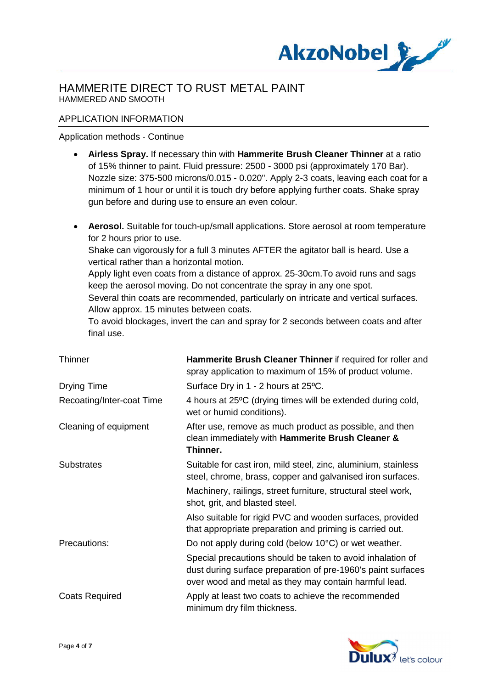

### APPLICATION INFORMATION

#### Application methods - Continue

- · **Airless Spray.** If necessary thin with **Hammerite Brush Cleaner Thinner** at a ratio of 15% thinner to paint. Fluid pressure: 2500 - 3000 psi (approximately 170 Bar). Nozzle size: 375-500 microns/0.015 - 0.020". Apply 2-3 coats, leaving each coat for a minimum of 1 hour or until it is touch dry before applying further coats. Shake spray gun before and during use to ensure an even colour.
- · **Aerosol.** Suitable for touch-up/small applications. Store aerosol at room temperature for 2 hours prior to use.

Shake can vigorously for a full 3 minutes AFTER the agitator ball is heard. Use a vertical rather than a horizontal motion.

Apply light even coats from a distance of approx. 25-30cm.To avoid runs and sags keep the aerosol moving. Do not concentrate the spray in any one spot.

Several thin coats are recommended, particularly on intricate and vertical surfaces. Allow approx. 15 minutes between coats.

To avoid blockages, invert the can and spray for 2 seconds between coats and after final use.

| <b>Thinner</b>            | Hammerite Brush Cleaner Thinner if required for roller and<br>spray application to maximum of 15% of product volume.                                                                |
|---------------------------|-------------------------------------------------------------------------------------------------------------------------------------------------------------------------------------|
| Drying Time               | Surface Dry in 1 - 2 hours at 25°C.                                                                                                                                                 |
| Recoating/Inter-coat Time | 4 hours at 25°C (drying times will be extended during cold,<br>wet or humid conditions).                                                                                            |
| Cleaning of equipment     | After use, remove as much product as possible, and then<br>clean immediately with Hammerite Brush Cleaner &<br>Thinner.                                                             |
| <b>Substrates</b>         | Suitable for cast iron, mild steel, zinc, aluminium, stainless<br>steel, chrome, brass, copper and galvanised iron surfaces.                                                        |
|                           | Machinery, railings, street furniture, structural steel work,<br>shot, grit, and blasted steel.                                                                                     |
|                           | Also suitable for rigid PVC and wooden surfaces, provided<br>that appropriate preparation and priming is carried out.                                                               |
| Precautions:              | Do not apply during cold (below 10°C) or wet weather.                                                                                                                               |
|                           | Special precautions should be taken to avoid inhalation of<br>dust during surface preparation of pre-1960's paint surfaces<br>over wood and metal as they may contain harmful lead. |
| <b>Coats Required</b>     | Apply at least two coats to achieve the recommended<br>minimum dry film thickness.                                                                                                  |

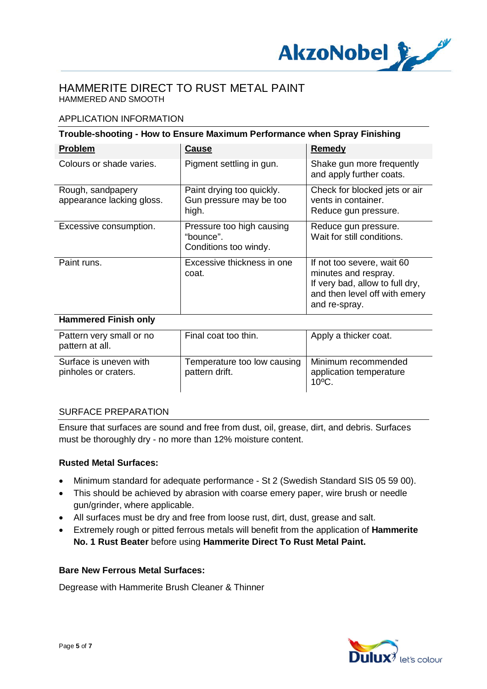

### APPLICATION INFORMATION

| Trouble-shooting - How to Ensure Maximum Performance when Spray Finishing |                                                                 |                                                                                                                                         |
|---------------------------------------------------------------------------|-----------------------------------------------------------------|-----------------------------------------------------------------------------------------------------------------------------------------|
| <b>Problem</b>                                                            | <b>Cause</b>                                                    | Remedy                                                                                                                                  |
| Colours or shade varies.                                                  | Pigment settling in gun.                                        | Shake gun more frequently<br>and apply further coats.                                                                                   |
| Rough, sandpapery<br>appearance lacking gloss.                            | Paint drying too quickly.<br>Gun pressure may be too<br>high.   | Check for blocked jets or air<br>vents in container.<br>Reduce gun pressure.                                                            |
| Excessive consumption.                                                    | Pressure too high causing<br>"bounce".<br>Conditions too windy. | Reduce gun pressure.<br>Wait for still conditions.                                                                                      |
| Paint runs.                                                               | Excessive thickness in one<br>coat.                             | If not too severe, wait 60<br>minutes and respray.<br>If very bad, allow to full dry,<br>and then level off with emery<br>and re-spray. |

#### **Hammered Finish only**

| Pattern very small or no<br>pattern at all.    | Final coat too thin.                          | Apply a thicker coat.                                             |
|------------------------------------------------|-----------------------------------------------|-------------------------------------------------------------------|
| Surface is uneven with<br>pinholes or craters. | Temperature too low causing<br>pattern drift. | Minimum recommended<br>application temperature<br>$10^{\circ}$ C. |

#### SURFACE PREPARATION

Ensure that surfaces are sound and free from dust, oil, grease, dirt, and debris. Surfaces must be thoroughly dry - no more than 12% moisture content.

#### **Rusted Metal Surfaces:**

- · Minimum standard for adequate performance St 2 (Swedish Standard SIS 05 59 00).
- · This should be achieved by abrasion with coarse emery paper, wire brush or needle gun/grinder, where applicable.
- · All surfaces must be dry and free from loose rust, dirt, dust, grease and salt.
- · Extremely rough or pitted ferrous metals will benefit from the application of **Hammerite No. 1 Rust Beater** before using **Hammerite Direct To Rust Metal Paint.**

#### **Bare New Ferrous Metal Surfaces:**

Degrease with Hammerite Brush Cleaner & Thinner

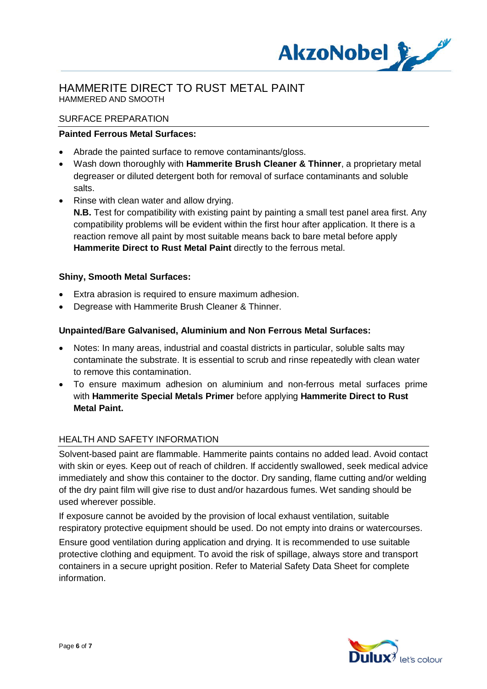

#### SURFACE PREPARATION

### **Painted Ferrous Metal Surfaces:**

- · Abrade the painted surface to remove contaminants/gloss.
- · Wash down thoroughly with **Hammerite Brush Cleaner & Thinner**, a proprietary metal degreaser or diluted detergent both for removal of surface contaminants and soluble salts.
- · Rinse with clean water and allow drying.
	- **N.B.** Test for compatibility with existing paint by painting a small test panel area first. Any compatibility problems will be evident within the first hour after application. It there is a reaction remove all paint by most suitable means back to bare metal before apply **Hammerite Direct to Rust Metal Paint** directly to the ferrous metal.

#### **Shiny, Smooth Metal Surfaces:**

- Extra abrasion is required to ensure maximum adhesion.
- · Degrease with Hammerite Brush Cleaner & Thinner.

### **Unpainted/Bare Galvanised, Aluminium and Non Ferrous Metal Surfaces:**

- · Notes: In many areas, industrial and coastal districts in particular, soluble salts may contaminate the substrate. It is essential to scrub and rinse repeatedly with clean water to remove this contamination.
- · To ensure maximum adhesion on aluminium and non-ferrous metal surfaces prime with **Hammerite Special Metals Primer** before applying **Hammerite Direct to Rust Metal Paint.**

#### HEALTH AND SAFETY INFORMATION

Solvent-based paint are flammable. Hammerite paints contains no added lead. Avoid contact with skin or eyes. Keep out of reach of children. If accidently swallowed, seek medical advice immediately and show this container to the doctor. Dry sanding, flame cutting and/or welding of the dry paint film will give rise to dust and/or hazardous fumes. Wet sanding should be used wherever possible.

If exposure cannot be avoided by the provision of local exhaust ventilation, suitable respiratory protective equipment should be used. Do not empty into drains or watercourses.

Ensure good ventilation during application and drying. It is recommended to use suitable protective clothing and equipment. To avoid the risk of spillage, always store and transport containers in a secure upright position. Refer to Material Safety Data Sheet for complete information.